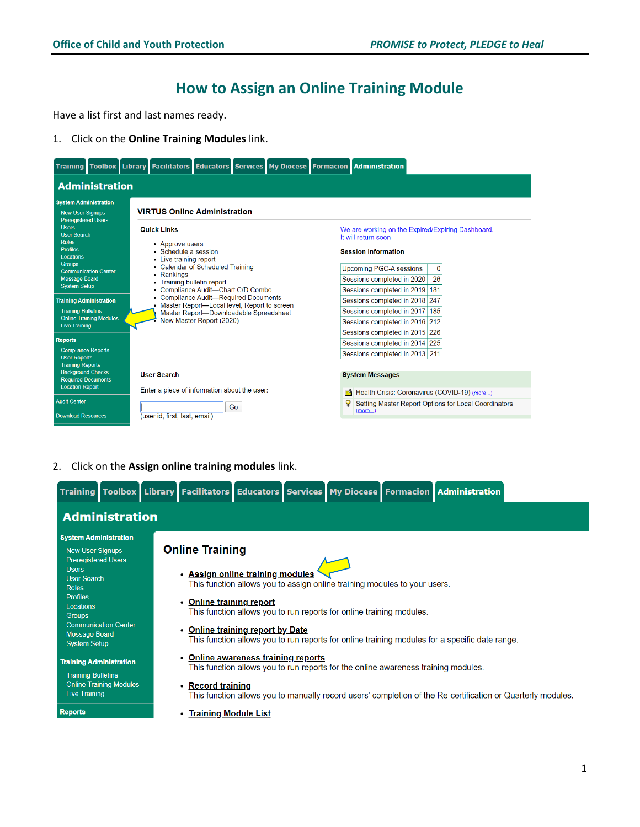## **How to Assign an Online Training Module**

Have a list first and last names ready.

1. Click on the **Online Training Modules** link.



2. Click on the **Assign online training modules** link.

|                                                                                       |                                |                                     |  |                                                                                    | Training Toolbox Library Facilitators Educators Services My Diocese Formacion Administration                |
|---------------------------------------------------------------------------------------|--------------------------------|-------------------------------------|--|------------------------------------------------------------------------------------|-------------------------------------------------------------------------------------------------------------|
|                                                                                       | <b>Administration</b>          |                                     |  |                                                                                    |                                                                                                             |
| <b>System Administration</b><br><b>New User Signups</b><br><b>Preregistered Users</b> |                                | <b>Online Training</b>              |  |                                                                                    |                                                                                                             |
| <b>Users</b><br><b>User Search</b><br>Roles                                           |                                | • Assign online training modules    |  | This function allows you to assign online training modules to your users.          |                                                                                                             |
| <b>Profiles</b><br>Locations<br><b>Groups</b>                                         |                                | • Online training report            |  | This function allows you to run reports for online training modules.               |                                                                                                             |
| <b>Message Board</b><br><b>System Setup</b>                                           | <b>Communication Center</b>    | • Online training report by Date    |  |                                                                                    | This function allows you to run reports for online training modules for a specific date range.              |
| <b>Training Administration</b><br><b>Training Bulletins</b>                           |                                | • Online awareness training reports |  | This function allows you to run reports for the online awareness training modules. |                                                                                                             |
| <b>Live Training</b>                                                                  | <b>Online Training Modules</b> | • Record training                   |  |                                                                                    | This function allows you to manually record users' completion of the Re-certification or Quarterly modules. |
| <b>Reports</b>                                                                        |                                | • Training Module List              |  |                                                                                    |                                                                                                             |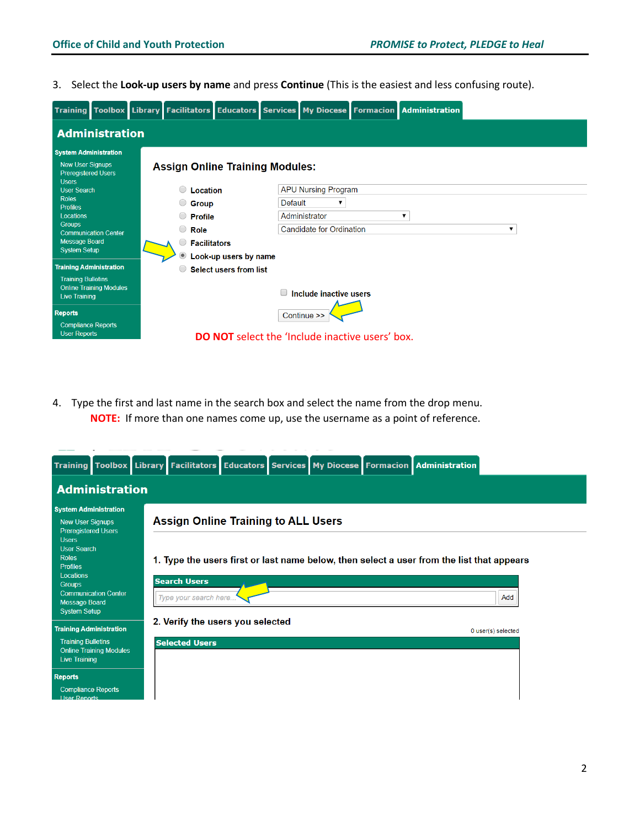3. Select the **Look-up users by name** and press **Continue** (This is the easiest and less confusing route).

|                                                                       |                                |                                        |                               |                |                                                        | Training Toolbox Library Facilitators Educators Services My Diocese Formacion Administration |   |  |
|-----------------------------------------------------------------------|--------------------------------|----------------------------------------|-------------------------------|----------------|--------------------------------------------------------|----------------------------------------------------------------------------------------------|---|--|
| <b>Administration</b>                                                 |                                |                                        |                               |                |                                                        |                                                                                              |   |  |
| <b>System Administration</b>                                          |                                |                                        |                               |                |                                                        |                                                                                              |   |  |
| <b>New User Signups</b><br><b>Preregistered Users</b><br><b>Users</b> |                                | <b>Assign Online Training Modules:</b> |                               |                |                                                        |                                                                                              |   |  |
| <b>User Search</b>                                                    |                                | <b>Location</b>                        |                               |                | <b>APU Nursing Program</b>                             |                                                                                              |   |  |
| <b>Roles</b><br><b>Profiles</b>                                       |                                | <b>Group</b>                           |                               | <b>Default</b> | ▼                                                      |                                                                                              |   |  |
| Locations                                                             |                                | <b>Profile</b>                         |                               |                | Administrator                                          | ▼                                                                                            |   |  |
| <b>Groups</b>                                                         | <b>Communication Center</b>    | $\bigcirc$<br><b>Role</b>              |                               |                | <b>Candidate for Ordination</b>                        |                                                                                              | ▼ |  |
| <b>Message Board</b>                                                  |                                | <b>Facilitators</b>                    |                               |                |                                                        |                                                                                              |   |  |
| <b>System Setup</b>                                                   |                                |                                        | Look-up users by name         |                |                                                        |                                                                                              |   |  |
| <b>Training Administration</b>                                        |                                |                                        | <b>Select users from list</b> |                |                                                        |                                                                                              |   |  |
| <b>Training Bulletins</b><br><b>Live Training</b>                     | <b>Online Training Modules</b> |                                        |                               |                | Include inactive users                                 |                                                                                              |   |  |
| <b>Reports</b>                                                        |                                |                                        |                               |                | Continue >>                                            |                                                                                              |   |  |
| <b>Compliance Reports</b><br><b>User Reports</b>                      |                                |                                        |                               |                | <b>DO NOT</b> select the 'Include inactive users' box. |                                                                                              |   |  |

4. Type the first and last name in the search box and select the name from the drop menu. **NOTE:** If more than one names come up, use the username as a point of reference.

|                                                                                       |                                |                                              |  |  | Training Toolbox Library Facilitators Educators Services My Diocese Formacion Administration |
|---------------------------------------------------------------------------------------|--------------------------------|----------------------------------------------|--|--|----------------------------------------------------------------------------------------------|
|                                                                                       | <b>Administration</b>          |                                              |  |  |                                                                                              |
| <b>System Administration</b><br><b>New User Signups</b><br><b>Preregistered Users</b> |                                | <b>Assign Online Training to ALL Users</b>   |  |  |                                                                                              |
| <b>Users</b><br><b>User Search</b><br><b>Roles</b><br><b>Profiles</b>                 |                                |                                              |  |  | 1. Type the users first or last name below, then select a user from the list that appears    |
| Locations<br><b>Groups</b><br><b>Message Board</b>                                    | <b>Communication Center</b>    | <b>Search Users</b><br>Type your search here |  |  | Add                                                                                          |
| <b>System Setup</b><br><b>Training Administration</b>                                 |                                | 2. Verify the users you selected             |  |  | 0 user(s) selected                                                                           |
| <b>Training Bulletins</b><br><b>Live Training</b>                                     | <b>Online Training Modules</b> | <b>Selected Users</b>                        |  |  |                                                                                              |
| <b>Reports</b><br><b>Compliance Reports</b><br><b>Heer Reports</b>                    |                                |                                              |  |  |                                                                                              |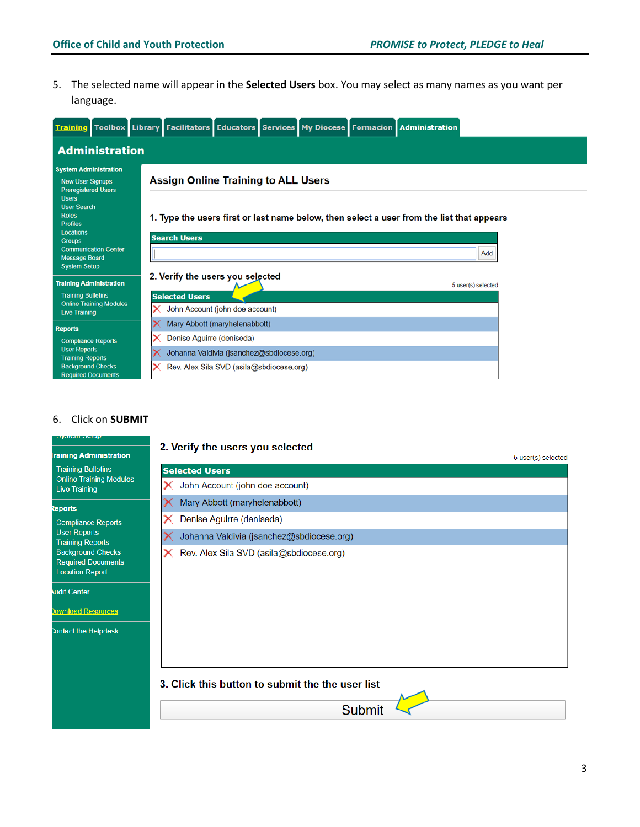5. The selected name will appear in the **Selected Users** box. You may select as many names as you want per language.

|                                                                                                       |   |                                            |  |  | Training Toolbox Library Facilitators Educators Services My Diocese Formacion Administration |                    |
|-------------------------------------------------------------------------------------------------------|---|--------------------------------------------|--|--|----------------------------------------------------------------------------------------------|--------------------|
| <b>Administration</b>                                                                                 |   |                                            |  |  |                                                                                              |                    |
| <b>System Administration</b><br><b>New User Signups</b><br><b>Preregistered Users</b><br><b>Users</b> |   | <b>Assign Online Training to ALL Users</b> |  |  |                                                                                              |                    |
| <b>User Search</b><br><b>Roles</b><br><b>Profiles</b><br>Locations                                    |   | <b>Search Users</b>                        |  |  | 1. Type the users first or last name below, then select a user from the list that appears    |                    |
| <b>Groups</b><br><b>Communication Center</b><br><b>Message Board</b>                                  |   |                                            |  |  |                                                                                              | Add                |
| <b>System Setup</b>                                                                                   |   | 2. Verify the users you selected           |  |  |                                                                                              |                    |
| <b>Training Administration</b><br><b>Training Bulletins</b>                                           |   | <b>Selected Users</b>                      |  |  |                                                                                              | 5 user(s) selected |
| <b>Online Training Modules</b><br><b>Live Training</b>                                                | x | John Account (john doe account)            |  |  |                                                                                              |                    |
| <b>Reports</b>                                                                                        | x | Mary Abbott (maryhelenabbott)              |  |  |                                                                                              |                    |
| <b>Compliance Reports</b>                                                                             | x | Denise Aguirre (deniseda)                  |  |  |                                                                                              |                    |
| <b>User Reports</b><br><b>Training Reports</b>                                                        |   | Johanna Valdivia (jsanchez@sbdiocese.org)  |  |  |                                                                                              |                    |
| <b>Background Checks</b><br><b>Required Documents</b>                                                 |   | Rev. Alex Sila SVD (asila@sbdiocese.org)   |  |  |                                                                                              |                    |

#### 6. Click on **SUBMIT**

| $\mathbf{v}$ , only the property                                                |                                   |
|---------------------------------------------------------------------------------|-----------------------------------|
| <b>Training Administration</b>                                                  | 2. Verify the users you selected  |
| <b>Training Bulletins</b>                                                       | <b>Selected Users</b>             |
| <b>Online Training Modules</b><br><b>Live Training</b>                          | John Account (john doe account)   |
| <b>Reports</b>                                                                  | Mary Abbott (maryhelenabbott)     |
| <b>Compliance Reports</b>                                                       | Denise Aquirre (deniseda)         |
| <b>User Reports</b><br><b>Training Reports</b>                                  | Johanna Valdivia (jsanchez@sbdio  |
| <b>Background Checks</b><br><b>Required Documents</b><br><b>Location Report</b> | Rev. Alex Sila SVD (asila@sbdioco |

udit Center

ownload Resources

Contact the Helpdesk

# 5 user(s) selected ount) ott) @sbdiocese.org) sbdiocese.org) 3. Click this button to submit the the user list

Submit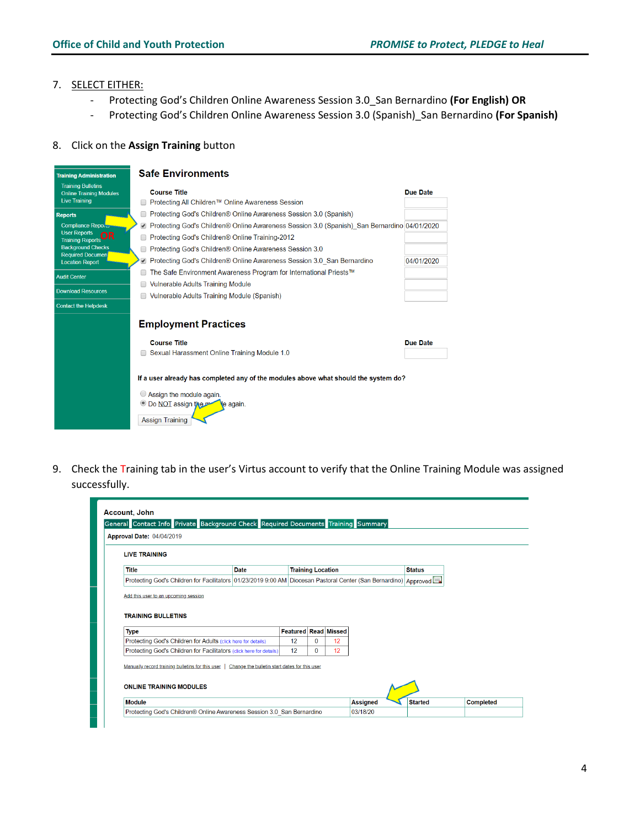#### 7. SELECT EITHER:

- Protecting God's Children Online Awareness Session 3.0\_San Bernardino **(For English) OR**
- Protecting God's Children Online Awareness Session 3.0 (Spanish)\_San Bernardino **(For Spanish)**

#### 8. Click on the **Assign Training** button

| <b>Training Administration</b>                              | <b>Safe Environments</b>                                                                                                                                                           |                 |
|-------------------------------------------------------------|------------------------------------------------------------------------------------------------------------------------------------------------------------------------------------|-----------------|
| <b>Training Bulletins</b><br><b>Online Training Modules</b> | <b>Course Title</b>                                                                                                                                                                | Due Date        |
| <b>Live Training</b>                                        | Protecting All Children™ Online Awareness Session                                                                                                                                  |                 |
| <b>Reports</b>                                              | Protecting God's Children® Online Awareness Session 3.0 (Spanish)                                                                                                                  |                 |
| Compliance Report                                           | ■ Protecting God's Children® Online Awareness Session 3.0 (Spanish) San Bernardino 04/01/2020                                                                                      |                 |
| <b>User Reports</b><br>)R<br><b>Training Reports</b>        | Protecting God's Children <sup>®</sup> Online Training-2012                                                                                                                        |                 |
| <b>Background Checks</b><br><b>Required Documen</b>         | Protecting God's Children® Online Awareness Session 3.0                                                                                                                            |                 |
| <b>Location Report</b>                                      | ■ Protecting God's Children® Online Awareness Session 3.0 San Bernardino                                                                                                           | 04/01/2020      |
| <b>Audit Center</b>                                         | The Safe Environment Awareness Program for International Priests™                                                                                                                  |                 |
|                                                             | Vulnerable Adults Training Module                                                                                                                                                  |                 |
| <b>Download Resources</b>                                   | Vulnerable Adults Training Module (Spanish)                                                                                                                                        |                 |
| <b>Contact the Helpdesk</b>                                 |                                                                                                                                                                                    |                 |
|                                                             | <b>Employment Practices</b>                                                                                                                                                        |                 |
|                                                             | <b>Course Title</b>                                                                                                                                                                | <b>Due Date</b> |
|                                                             | Sexual Harassment Online Training Module 1.0                                                                                                                                       |                 |
|                                                             | If a user already has completed any of the modules above what should the system do?<br>Assign the module again.<br>O Do NOT assign the port<br>le again.<br><b>Assign Training</b> |                 |

9. Check the Training tab in the user's Virtus account to verify that the Online Training Module was assigned successfully.

| <b>LIVE TRAINING</b>                                              |                                                                                                                    |                             |                          |    |               |  |
|-------------------------------------------------------------------|--------------------------------------------------------------------------------------------------------------------|-----------------------------|--------------------------|----|---------------|--|
| <b>Title</b>                                                      | <b>Date</b>                                                                                                        |                             | <b>Training Location</b> |    | <b>Status</b> |  |
|                                                                   | Protecting God's Children for Facilitators 01/23/2019 9:00 AM Diocesan Pastoral Center (San Bernardino)   Approved |                             |                          |    |               |  |
| Add this user to an upcoming session<br><b>TRAINING BULLETINS</b> |                                                                                                                    |                             |                          |    |               |  |
| <b>Type</b>                                                       |                                                                                                                    | <b>Featured Read Missed</b> |                          |    |               |  |
| Protecting God's Children for Adults (click here for details)     |                                                                                                                    | 12                          | $\bf{0}$                 | 12 |               |  |
|                                                                   | Protecting God's Children for Facilitators (click here for details)                                                | 12                          | $\Omega$                 | 12 |               |  |